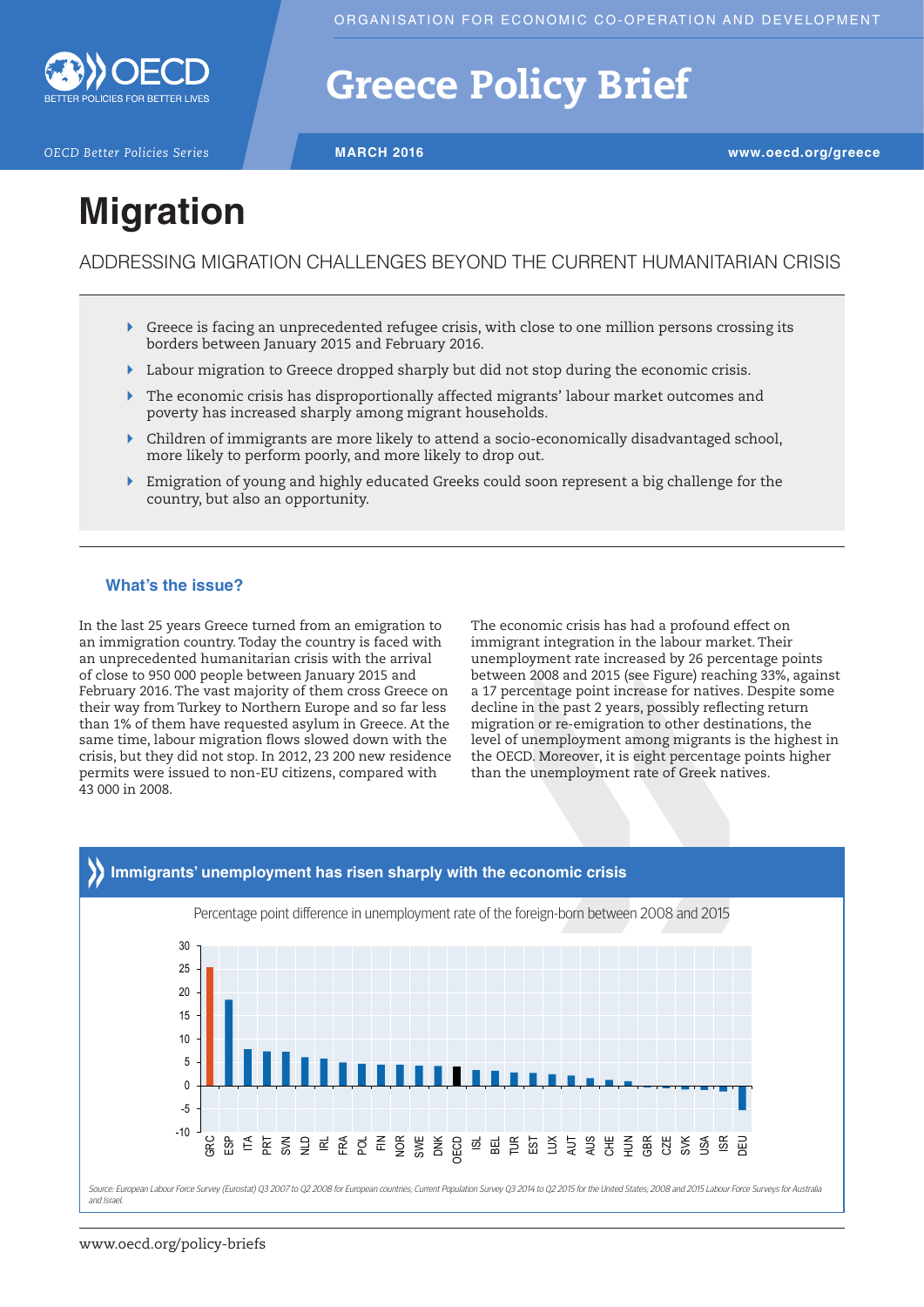

## Greece Policy Brief

*OECD Better Policies Series* **MARCH 2016 www.oecd.org/greece**

# **Migration**

ADDRESSING MIGRATION CHALLENGES BEYOND THE CURRENT HUMANITARIAN CRISIS

- $\triangleright$  Greece is facing an unprecedented refugee crisis, with close to one million persons crossing its borders between January 2015 and February 2016.
- ` Labour migration to Greece dropped sharply but did not stop during the economic crisis.
- ` The economic crisis has disproportionally affected migrants' labour market outcomes and poverty has increased sharply among migrant households.
- ` Children of immigrants are more likely to attend a socio-economically disadvantaged school, more likely to perform poorly, and more likely to drop out.
- ` Emigration of young and highly educated Greeks could soon represent a big challenge for the country, but also an opportunity.

## **What's the issue?**

In the last 25 years Greece turned from an emigration to an immigration country. Today the country is faced with an unprecedented humanitarian crisis with the arrival of close to 950 000 people between January 2015 and February 2016. The vast majority of them cross Greece on their way from Turkey to Northern Europe and so far less than 1% of them have requested asylum in Greece. At the same time, labour migration flows slowed down with the crisis, but they did not stop. In 2012, 23 200 new residence permits were issued to non-EU citizens, compared with 43 000 in 2008.

The economic crisis has had a profound effect on immigrant integration in the labour market. Their unemployment rate increased by 26 percentage points between 2008 and 2015 (see Figure) reaching 33%, against a 17 percentage point increase for natives. Despite some decline in the past 2 years, possibly reflecting return migration or re-emigration to other destinations, the level of unemployment among migrants is the highest in the OECD. Moreover, it is eight percentage points higher than the unemployment rate of Greek natives.